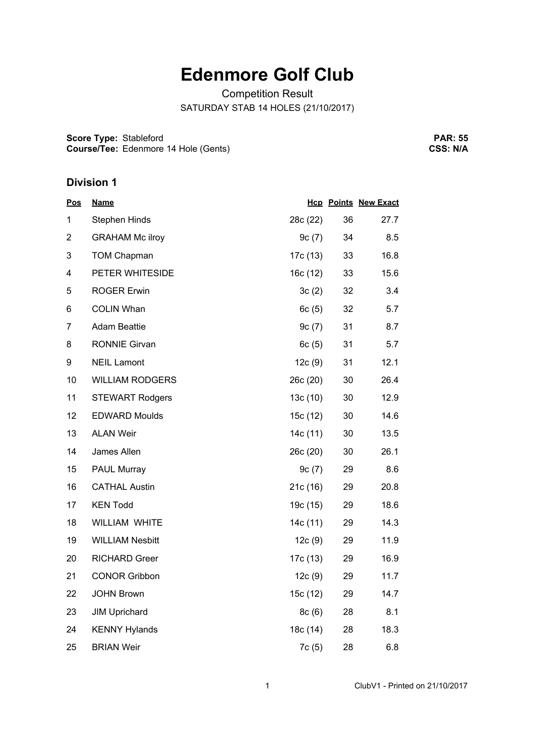# **Edenmore Golf Club**

Competition Result SATURDAY STAB 14 HOLES (21/10/2017)

**Score Type:** Stableford **Course/Tee:** Edenmore 14 Hole (Gents)

**PAR: 55 CSS: N/A**

# **Division 1**

| <u>Pos</u>     | <b>Name</b>            |          |    | <b>Hcp Points New Exact</b> |
|----------------|------------------------|----------|----|-----------------------------|
| 1              | <b>Stephen Hinds</b>   | 28c (22) | 36 | 27.7                        |
| $\overline{2}$ | <b>GRAHAM Mc ilroy</b> | 9c(7)    | 34 | 8.5                         |
| 3              | <b>TOM Chapman</b>     | 17c (13) | 33 | 16.8                        |
| 4              | PETER WHITESIDE        | 16c(12)  | 33 | 15.6                        |
| 5              | <b>ROGER Erwin</b>     | 3c(2)    | 32 | 3.4                         |
| 6              | <b>COLIN Whan</b>      | 6c(5)    | 32 | 5.7                         |
| 7              | <b>Adam Beattie</b>    | 9c(7)    | 31 | 8.7                         |
| 8              | <b>RONNIE Girvan</b>   | 6c(5)    | 31 | 5.7                         |
| 9              | <b>NEIL Lamont</b>     | 12c(9)   | 31 | 12.1                        |
| 10             | <b>WILLIAM RODGERS</b> | 26c (20) | 30 | 26.4                        |
| 11             | <b>STEWART Rodgers</b> | 13c(10)  | 30 | 12.9                        |
| 12             | <b>EDWARD Moulds</b>   | 15c (12) | 30 | 14.6                        |
| 13             | <b>ALAN Weir</b>       | 14c (11) | 30 | 13.5                        |
| 14             | James Allen            | 26c (20) | 30 | 26.1                        |
| 15             | <b>PAUL Murray</b>     | 9c(7)    | 29 | 8.6                         |
| 16             | <b>CATHAL Austin</b>   | 21c(16)  | 29 | 20.8                        |
| 17             | <b>KEN Todd</b>        | 19c (15) | 29 | 18.6                        |
| 18             | WILLIAM WHITE          | 14c (11) | 29 | 14.3                        |
| 19             | <b>WILLIAM Nesbitt</b> | 12c(9)   | 29 | 11.9                        |
| 20             | <b>RICHARD Greer</b>   | 17c (13) | 29 | 16.9                        |
| 21             | <b>CONOR Gribbon</b>   | 12c(9)   | 29 | 11.7                        |
| 22             | <b>JOHN Brown</b>      | 15c (12) | 29 | 14.7                        |
| 23             | <b>JIM Uprichard</b>   | 8c(6)    | 28 | 8.1                         |
| 24             | <b>KENNY Hylands</b>   | 18c (14) | 28 | 18.3                        |
| 25             | <b>BRIAN Weir</b>      | 7c (5)   | 28 | 6.8                         |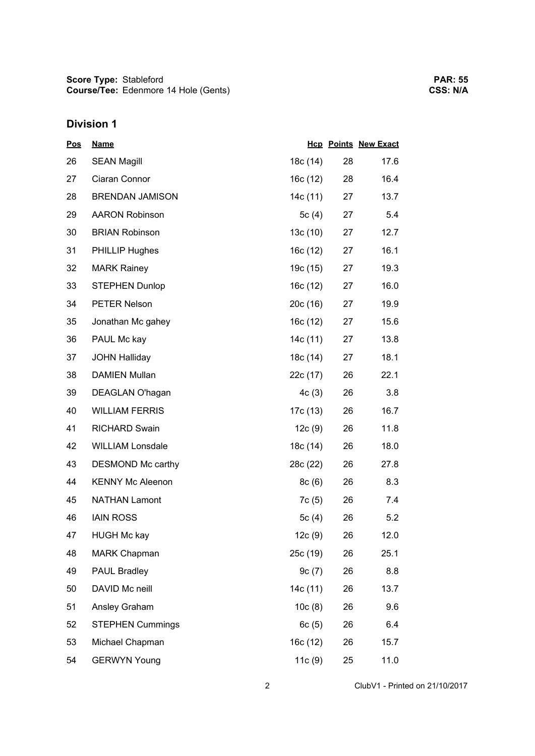# **Division 1**

| <u>Pos</u> | <b>Name</b>             |          |    | <b>Hcp Points New Exact</b> |
|------------|-------------------------|----------|----|-----------------------------|
| 26         | <b>SEAN Magill</b>      | 18c (14) | 28 | 17.6                        |
| 27         | Ciaran Connor           | 16c (12) | 28 | 16.4                        |
| 28         | <b>BRENDAN JAMISON</b>  | 14c (11) | 27 | 13.7                        |
| 29         | <b>AARON Robinson</b>   | 5 $c(4)$ | 27 | 5.4                         |
| 30         | <b>BRIAN Robinson</b>   | 13c(10)  | 27 | 12.7                        |
| 31         | <b>PHILLIP Hughes</b>   | 16c (12) | 27 | 16.1                        |
| 32         | <b>MARK Rainey</b>      | 19c (15) | 27 | 19.3                        |
| 33         | <b>STEPHEN Dunlop</b>   | 16c (12) | 27 | 16.0                        |
| 34         | PETER Nelson            | 20c(16)  | 27 | 19.9                        |
| 35         | Jonathan Mc gahey       | 16c(12)  | 27 | 15.6                        |
| 36         | PAUL Mc kay             | 14c (11) | 27 | 13.8                        |
| 37         | <b>JOHN Halliday</b>    | 18c (14) | 27 | 18.1                        |
| 38         | <b>DAMIEN Mullan</b>    | 22c (17) | 26 | 22.1                        |
| 39         | DEAGLAN O'hagan         | 4c(3)    | 26 | 3.8                         |
| 40         | <b>WILLIAM FERRIS</b>   | 17c (13) | 26 | 16.7                        |
| 41         | <b>RICHARD Swain</b>    | 12c(9)   | 26 | 11.8                        |
| 42         | <b>WILLIAM Lonsdale</b> | 18c (14) | 26 | 18.0                        |
| 43         | DESMOND Mc carthy       | 28c (22) | 26 | 27.8                        |
| 44         | <b>KENNY Mc Aleenon</b> | 8c(6)    | 26 | 8.3                         |
| 45         | <b>NATHAN Lamont</b>    | 7c (5)   | 26 | 7.4                         |
| 46         | <b>IAIN ROSS</b>        | 5 $c(4)$ | 26 | 5.2                         |
| 47         | <b>HUGH Mc kay</b>      | 12c(9)   | 26 | 12.0                        |
| 48         | <b>MARK Chapman</b>     | 25c (19) | 26 | 25.1                        |
| 49         | <b>PAUL Bradley</b>     | 9c(7)    | 26 | 8.8                         |
| 50         | DAVID Mc neill          | 14c (11) | 26 | 13.7                        |
| 51         | Ansley Graham           | 10c(8)   | 26 | 9.6                         |
| 52         | <b>STEPHEN Cummings</b> | 6c(5)    | 26 | 6.4                         |
| 53         | Michael Chapman         | 16c (12) | 26 | 15.7                        |
| 54         | <b>GERWYN Young</b>     | 11c(9)   | 25 | 11.0                        |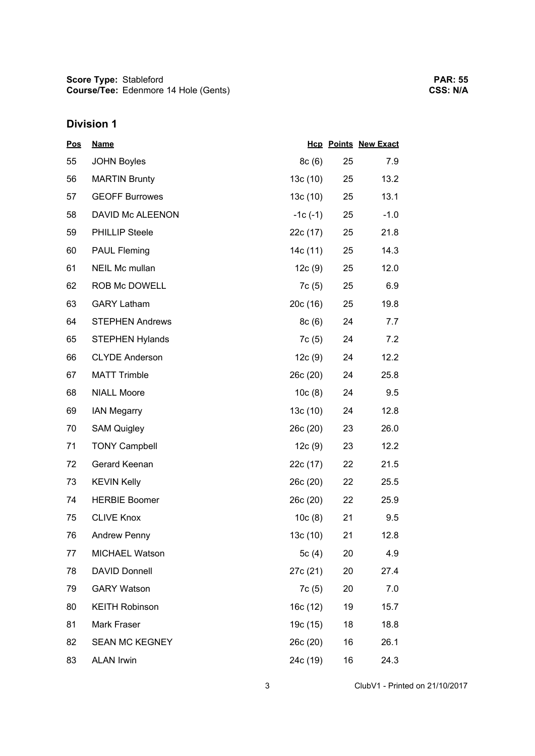# **Division 1**

| <u>Pos</u> | <b>Name</b>            |           |    | <b>Hcp Points New Exact</b> |
|------------|------------------------|-----------|----|-----------------------------|
| 55         | <b>JOHN Boyles</b>     | 8c(6)     | 25 | 7.9                         |
| 56         | <b>MARTIN Brunty</b>   | 13c(10)   | 25 | 13.2                        |
| 57         | <b>GEOFF Burrowes</b>  | 13c(10)   | 25 | 13.1                        |
| 58         | DAVID Mc ALEENON       | $-1c(-1)$ | 25 | $-1.0$                      |
| 59         | <b>PHILLIP Steele</b>  | 22c (17)  | 25 | 21.8                        |
| 60         | <b>PAUL Fleming</b>    | 14c (11)  | 25 | 14.3                        |
| 61         | NEIL Mc mullan         | 12c(9)    | 25 | 12.0                        |
| 62         | ROB Mc DOWELL          | 7c(5)     | 25 | 6.9                         |
| 63         | <b>GARY Latham</b>     | 20c(16)   | 25 | 19.8                        |
| 64         | <b>STEPHEN Andrews</b> | 8c(6)     | 24 | 7.7                         |
| 65         | <b>STEPHEN Hylands</b> | 7c(5)     | 24 | 7.2                         |
| 66         | <b>CLYDE Anderson</b>  | 12c(9)    | 24 | 12.2                        |
| 67         | <b>MATT Trimble</b>    | 26c (20)  | 24 | 25.8                        |
| 68         | <b>NIALL Moore</b>     | 10c(8)    | 24 | 9.5                         |
| 69         | <b>IAN Megarry</b>     | 13c(10)   | 24 | 12.8                        |
| 70         | <b>SAM Quigley</b>     | 26c (20)  | 23 | 26.0                        |
| 71         | <b>TONY Campbell</b>   | 12c(9)    | 23 | 12.2                        |
| 72         | Gerard Keenan          | 22c (17)  | 22 | 21.5                        |
| 73         | <b>KEVIN Kelly</b>     | 26c(20)   | 22 | 25.5                        |
| 74         | <b>HERBIE Boomer</b>   | 26c (20)  | 22 | 25.9                        |
| 75         | <b>CLIVE Knox</b>      | 10c(8)    | 21 | 9.5                         |
| 76         | Andrew Penny           | 13c (10)  | 21 | 12.8                        |
| 77         | <b>MICHAEL Watson</b>  | 5 $c(4)$  | 20 | 4.9                         |
| 78         | <b>DAVID Donnell</b>   | 27c (21)  | 20 | 27.4                        |
| 79         | <b>GARY Watson</b>     | 7c (5)    | 20 | 7.0                         |
| 80         | <b>KEITH Robinson</b>  | 16c (12)  | 19 | 15.7                        |
| 81         | Mark Fraser            | 19c (15)  | 18 | 18.8                        |
| 82         | <b>SEAN MC KEGNEY</b>  | 26c (20)  | 16 | 26.1                        |
| 83         | <b>ALAN Irwin</b>      | 24c (19)  | 16 | 24.3                        |